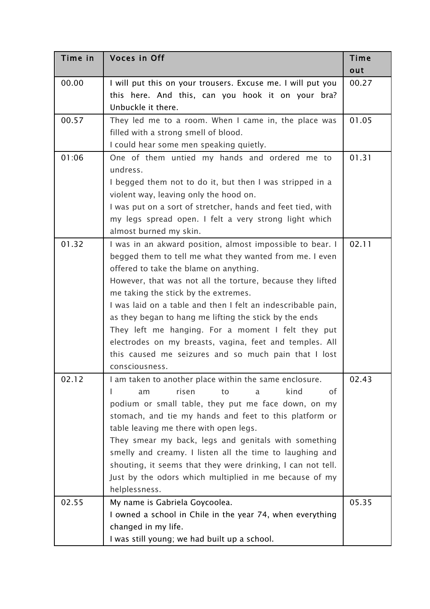| Time in | Voces in Off                                                                                                                                                                                                                                                                                                                                                                                                                                                                                                                                                                              | Time  |
|---------|-------------------------------------------------------------------------------------------------------------------------------------------------------------------------------------------------------------------------------------------------------------------------------------------------------------------------------------------------------------------------------------------------------------------------------------------------------------------------------------------------------------------------------------------------------------------------------------------|-------|
|         |                                                                                                                                                                                                                                                                                                                                                                                                                                                                                                                                                                                           | out   |
| 00.00   | I will put this on your trousers. Excuse me. I will put you<br>this here. And this, can you hook it on your bra?<br>Unbuckle it there.                                                                                                                                                                                                                                                                                                                                                                                                                                                    | 00.27 |
| 00.57   | They led me to a room. When I came in, the place was<br>filled with a strong smell of blood.<br>I could hear some men speaking quietly.                                                                                                                                                                                                                                                                                                                                                                                                                                                   | 01.05 |
| 01:06   | One of them untied my hands and ordered me to<br>undress.<br>I begged them not to do it, but then I was stripped in a<br>violent way, leaving only the hood on.<br>I was put on a sort of stretcher, hands and feet tied, with<br>my legs spread open. I felt a very strong light which<br>almost burned my skin.                                                                                                                                                                                                                                                                         | 01.31 |
| 01.32   | I was in an akward position, almost impossible to bear. I<br>begged them to tell me what they wanted from me. I even<br>offered to take the blame on anything.<br>However, that was not all the torture, because they lifted<br>me taking the stick by the extremes.<br>I was laid on a table and then I felt an indescribable pain,<br>as they began to hang me lifting the stick by the ends<br>They left me hanging. For a moment I felt they put<br>electrodes on my breasts, vagina, feet and temples. All<br>this caused me seizures and so much pain that I lost<br>consciousness. | 02.11 |
| 02.12   | I am taken to another place within the same enclosure.<br>risen<br>kind<br>οf<br>am<br>to<br>a<br>podium or small table, they put me face down, on my<br>stomach, and tie my hands and feet to this platform or<br>table leaving me there with open legs.<br>They smear my back, legs and genitals with something<br>smelly and creamy. I listen all the time to laughing and<br>shouting, it seems that they were drinking, I can not tell.<br>Just by the odors which multiplied in me because of my<br>helplessness.                                                                   | 02.43 |
| 02.55   | My name is Gabriela Goycoolea.<br>I owned a school in Chile in the year 74, when everything<br>changed in my life.<br>I was still young; we had built up a school.                                                                                                                                                                                                                                                                                                                                                                                                                        | 05.35 |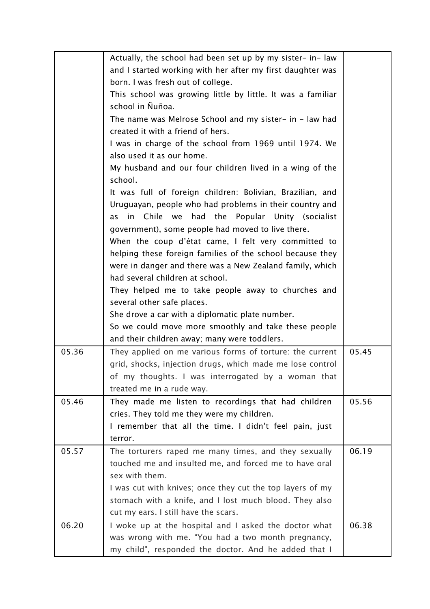|       | Actually, the school had been set up by my sister- in-law   |       |
|-------|-------------------------------------------------------------|-------|
|       | and I started working with her after my first daughter was  |       |
|       | born. I was fresh out of college.                           |       |
|       | This school was growing little by little. It was a familiar |       |
|       | school in Ñuñoa.                                            |       |
|       | The name was Melrose School and my sister- in - law had     |       |
|       | created it with a friend of hers.                           |       |
|       | I was in charge of the school from 1969 until 1974. We      |       |
|       | also used it as our home.                                   |       |
|       | My husband and our four children lived in a wing of the     |       |
|       | school.                                                     |       |
|       | It was full of foreign children: Bolivian, Brazilian, and   |       |
|       | Uruguayan, people who had problems in their country and     |       |
|       | Chile we<br>had the<br>Popular Unity (socialist<br>in<br>as |       |
|       | government), some people had moved to live there.           |       |
|       | When the coup d'état came, I felt very committed to         |       |
|       | helping these foreign families of the school because they   |       |
|       | were in danger and there was a New Zealand family, which    |       |
|       | had several children at school.                             |       |
|       | They helped me to take people away to churches and          |       |
|       | several other safe places.                                  |       |
|       | She drove a car with a diplomatic plate number.             |       |
|       | So we could move more smoothly and take these people        |       |
|       | and their children away; many were toddlers.                |       |
| 05.36 | They applied on me various forms of torture: the current    | 05.45 |
|       | grid, shocks, injection drugs, which made me lose control   |       |
|       | of my thoughts. I was interrogated by a woman that          |       |
|       | treated me in a rude way.                                   |       |
| 05.46 | They made me listen to recordings that had children         | 05.56 |
|       | cries. They told me they were my children.                  |       |
|       | I remember that all the time. I didn't feel pain, just      |       |
|       | terror.                                                     |       |
| 05.57 | The torturers raped me many times, and they sexually        | 06.19 |
|       | touched me and insulted me, and forced me to have oral      |       |
|       | sex with them.                                              |       |
|       | I was cut with knives; once they cut the top layers of my   |       |
|       | stomach with a knife, and I lost much blood. They also      |       |
|       | cut my ears. I still have the scars.                        |       |
| 06.20 | I woke up at the hospital and I asked the doctor what       | 06.38 |
|       | was wrong with me. "You had a two month pregnancy,          |       |
|       | my child", responded the doctor. And he added that I        |       |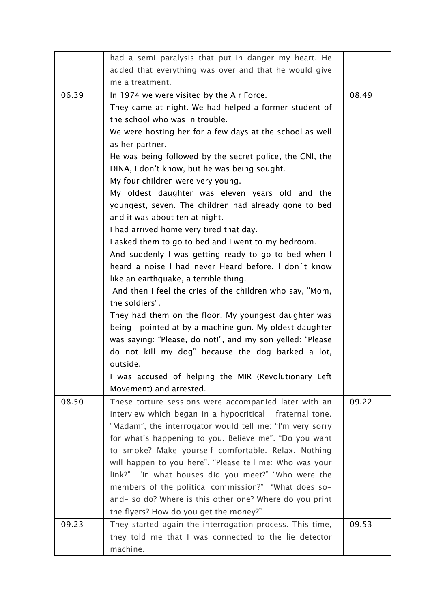|       | had a semi-paralysis that put in danger my heart. He                                                           |       |
|-------|----------------------------------------------------------------------------------------------------------------|-------|
|       | added that everything was over and that he would give                                                          |       |
|       | me a treatment.                                                                                                |       |
| 06.39 | In 1974 we were visited by the Air Force.                                                                      | 08.49 |
|       | They came at night. We had helped a former student of                                                          |       |
|       | the school who was in trouble.                                                                                 |       |
|       | We were hosting her for a few days at the school as well                                                       |       |
|       | as her partner.                                                                                                |       |
|       | He was being followed by the secret police, the CNI, the                                                       |       |
|       | DINA, I don't know, but he was being sought.                                                                   |       |
|       | My four children were very young.                                                                              |       |
|       | My oldest daughter was eleven years old and the                                                                |       |
|       | youngest, seven. The children had already gone to bed                                                          |       |
|       | and it was about ten at night.                                                                                 |       |
|       | I had arrived home very tired that day.                                                                        |       |
|       | I asked them to go to bed and I went to my bedroom.                                                            |       |
|       | And suddenly I was getting ready to go to bed when I                                                           |       |
|       | heard a noise I had never Heard before. I don't know                                                           |       |
|       | like an earthquake, a terrible thing.                                                                          |       |
|       | And then I feel the cries of the children who say, "Mom,                                                       |       |
|       | the soldiers".                                                                                                 |       |
|       | They had them on the floor. My youngest daughter was                                                           |       |
|       | being pointed at by a machine gun. My oldest daughter                                                          |       |
|       | was saying: "Please, do not!", and my son yelled: "Please                                                      |       |
|       | do not kill my dog" because the dog barked a lot,                                                              |       |
|       | outside.                                                                                                       |       |
|       | I was accused of helping the MIR (Revolutionary Left                                                           |       |
|       | Movement) and arrested.                                                                                        |       |
| 08.50 | These torture sessions were accompanied later with an                                                          | 09.22 |
|       | interview which began in a hypocritical fraternal tone.                                                        |       |
|       | "Madam", the interrogator would tell me: "I'm very sorry                                                       |       |
|       | for what's happening to you. Believe me". "Do you want                                                         |       |
|       | to smoke? Make yourself comfortable. Relax. Nothing<br>will happen to you here". "Please tell me: Who was your |       |
|       | link?" "In what houses did you meet?" "Who were the                                                            |       |
|       | members of the political commission?" "What does so-                                                           |       |
|       | and- so do? Where is this other one? Where do you print                                                        |       |
|       | the flyers? How do you get the money?"                                                                         |       |
| 09.23 | They started again the interrogation process. This time,                                                       | 09.53 |
|       | they told me that I was connected to the lie detector                                                          |       |
|       | machine.                                                                                                       |       |
|       |                                                                                                                |       |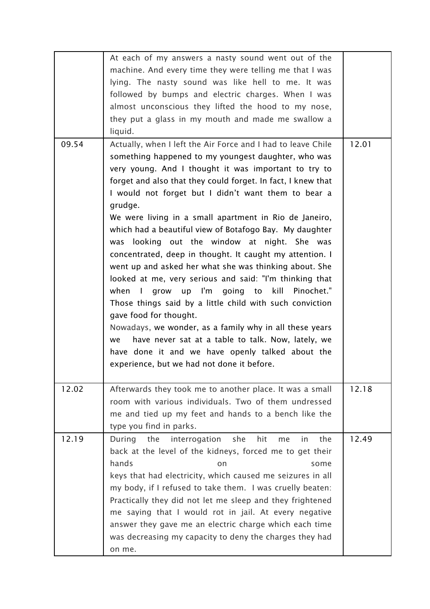|       | At each of my answers a nasty sound went out of the<br>machine. And every time they were telling me that I was<br>lying. The nasty sound was like hell to me. It was<br>followed by bumps and electric charges. When I was<br>almost unconscious they lifted the hood to my nose,<br>they put a glass in my mouth and made me swallow a<br>liquid.                                                                                                                                                                                                                                                                                                                                                                                                                                                                                                                                                                                                                                                                                      |       |
|-------|-----------------------------------------------------------------------------------------------------------------------------------------------------------------------------------------------------------------------------------------------------------------------------------------------------------------------------------------------------------------------------------------------------------------------------------------------------------------------------------------------------------------------------------------------------------------------------------------------------------------------------------------------------------------------------------------------------------------------------------------------------------------------------------------------------------------------------------------------------------------------------------------------------------------------------------------------------------------------------------------------------------------------------------------|-------|
| 09.54 | Actually, when I left the Air Force and I had to leave Chile<br>something happened to my youngest daughter, who was<br>very young. And I thought it was important to try to<br>forget and also that they could forget. In fact, I knew that<br>I would not forget but I didn't want them to bear a<br>grudge.<br>We were living in a small apartment in Rio de Janeiro,<br>which had a beautiful view of Botafogo Bay. My daughter<br>looking out the window at night. She was<br>was<br>concentrated, deep in thought. It caught my attention. I<br>went up and asked her what she was thinking about. She<br>looked at me, very serious and said: "I'm thinking that<br>grow up I'm going to kill Pinochet."<br>when I<br>Those things said by a little child with such conviction<br>gave food for thought.<br>Nowadays, we wonder, as a family why in all these years<br>have never sat at a table to talk. Now, lately, we<br>we<br>have done it and we have openly talked about the<br>experience, but we had not done it before. | 12.01 |
| 12.02 | Afterwards they took me to another place. It was a small<br>room with various individuals. Two of them undressed<br>me and tied up my feet and hands to a bench like the<br>type you find in parks.                                                                                                                                                                                                                                                                                                                                                                                                                                                                                                                                                                                                                                                                                                                                                                                                                                     | 12.18 |
| 12.19 | the<br>hit<br>the<br>During<br>interrogation<br>she<br>in.<br>me<br>back at the level of the kidneys, forced me to get their<br>hands<br>on<br>some<br>keys that had electricity, which caused me seizures in all<br>my body, if I refused to take them. I was cruelly beaten:<br>Practically they did not let me sleep and they frightened<br>me saying that I would rot in jail. At every negative<br>answer they gave me an electric charge which each time<br>was decreasing my capacity to deny the charges they had<br>on me.                                                                                                                                                                                                                                                                                                                                                                                                                                                                                                     | 12.49 |